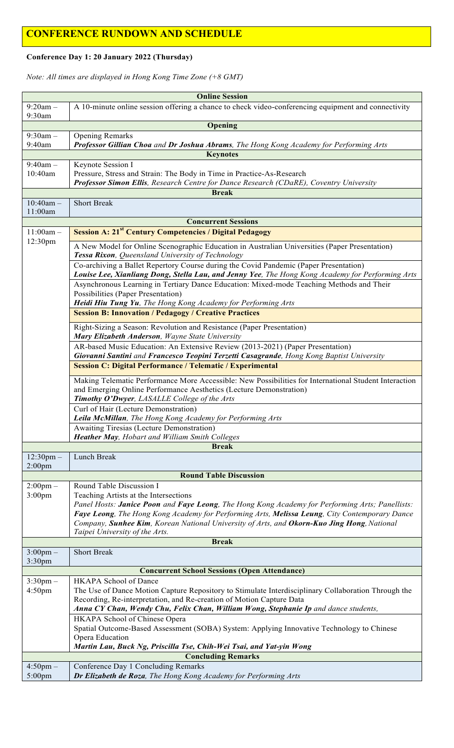## **CONFERENCE RUNDOWN AND SCHEDULE**

#### **Conference Day 1: 20 January 2022 (Thursday)**

*Note: All times are displayed in Hong Kong Time Zone (+8 GMT)*

|                                                | <b>Online Session</b>                                                                                                                                                                     |  |
|------------------------------------------------|-------------------------------------------------------------------------------------------------------------------------------------------------------------------------------------------|--|
| $9:20am -$                                     | A 10-minute online session offering a chance to check video-conferencing equipment and connectivity                                                                                       |  |
| 9:30am                                         |                                                                                                                                                                                           |  |
|                                                | Opening                                                                                                                                                                                   |  |
| $9:30am -$                                     | <b>Opening Remarks</b>                                                                                                                                                                    |  |
| 9:40am                                         | Professor Gillian Choa and Dr Joshua Abrams, The Hong Kong Academy for Performing Arts                                                                                                    |  |
| <b>Keynotes</b>                                |                                                                                                                                                                                           |  |
| $9:40$ am $-$                                  | Keynote Session I                                                                                                                                                                         |  |
| 10:40am                                        | Pressure, Stress and Strain: The Body in Time in Practice-As-Research                                                                                                                     |  |
|                                                | Professor Simon Ellis, Research Centre for Dance Research (CDaRE), Coventry University                                                                                                    |  |
|                                                | <b>Break</b>                                                                                                                                                                              |  |
| $10:40$ am -<br>11:00am                        | <b>Short Break</b>                                                                                                                                                                        |  |
|                                                | <b>Concurrent Sessions</b>                                                                                                                                                                |  |
| $11:00am -$                                    | <b>Session A: 21<sup>st</sup> Century Competencies / Digital Pedagogy</b>                                                                                                                 |  |
| 12:30pm                                        |                                                                                                                                                                                           |  |
|                                                | A New Model for Online Scenographic Education in Australian Universities (Paper Presentation)<br>Tessa Rixon, Queensland University of Technology                                         |  |
|                                                | Co-archiving a Ballet Repertory Course during the Covid Pandemic (Paper Presentation)<br>Louise Lee, Xianliang Dong, Stella Lau, and Jenny Yee, The Hong Kong Academy for Performing Arts |  |
|                                                | Asynchronous Learning in Tertiary Dance Education: Mixed-mode Teaching Methods and Their                                                                                                  |  |
|                                                | Possibilities (Paper Presentation)                                                                                                                                                        |  |
|                                                | Heidi Hiu Tung Yu, The Hong Kong Academy for Performing Arts                                                                                                                              |  |
|                                                | <b>Session B: Innovation / Pedagogy / Creative Practices</b>                                                                                                                              |  |
|                                                |                                                                                                                                                                                           |  |
|                                                | Right-Sizing a Season: Revolution and Resistance (Paper Presentation)<br>Mary Elizabeth Anderson, Wayne State University                                                                  |  |
|                                                | AR-based Music Education: An Extensive Review (2013-2021) (Paper Presentation)                                                                                                            |  |
|                                                | Giovanni Santini and Francesco Teopini Terzetti Casagrande, Hong Kong Baptist University                                                                                                  |  |
|                                                | <b>Session C: Digital Performance / Telematic / Experimental</b>                                                                                                                          |  |
|                                                | Making Telematic Performance More Accessible: New Possibilities for International Student Interaction                                                                                     |  |
|                                                | and Emerging Online Performance Aesthetics (Lecture Demonstration)                                                                                                                        |  |
|                                                | Timothy O'Dwyer, LASALLE College of the Arts                                                                                                                                              |  |
|                                                | Curl of Hair (Lecture Demonstration)<br>Leila McMillan, The Hong Kong Academy for Performing Arts                                                                                         |  |
|                                                | Awaiting Tiresias (Lecture Demonstration)                                                                                                                                                 |  |
|                                                | Heather May, Hobart and William Smith Colleges                                                                                                                                            |  |
|                                                | <b>Break</b>                                                                                                                                                                              |  |
| $12:30 \text{pm} -$                            | Lunch Break                                                                                                                                                                               |  |
| $2:00$ pm                                      |                                                                                                                                                                                           |  |
| <b>Round Table Discussion</b>                  |                                                                                                                                                                                           |  |
| $2:00 \text{pm} -$                             | Round Table Discussion I                                                                                                                                                                  |  |
| 3:00 <sub>pm</sub>                             | Teaching Artists at the Intersections                                                                                                                                                     |  |
|                                                | Panel Hosts: Janice Poon and Faye Leong, The Hong Kong Academy for Performing Arts; Panellists:                                                                                           |  |
|                                                | Faye Leong, The Hong Kong Academy for Performing Arts, Melissa Leung, City Contemporary Dance                                                                                             |  |
|                                                | Company, Sunhee Kim, Korean National University of Arts, and Okorn-Kuo Jing Hong, National                                                                                                |  |
| Taipei University of the Arts.<br><b>Break</b> |                                                                                                                                                                                           |  |
|                                                |                                                                                                                                                                                           |  |
| $3:00 \text{pm} -$<br>$3:30$ pm                | <b>Short Break</b>                                                                                                                                                                        |  |
|                                                | <b>Concurrent School Sessions (Open Attendance)</b>                                                                                                                                       |  |
| $3:30$ pm $-$                                  | HKAPA School of Dance                                                                                                                                                                     |  |
| 4:50 <sub>pm</sub>                             | The Use of Dance Motion Capture Repository to Stimulate Interdisciplinary Collaboration Through the                                                                                       |  |
|                                                | Recording, Re-interpretation, and Re-creation of Motion Capture Data                                                                                                                      |  |
|                                                | Anna CY Chan, Wendy Chu, Felix Chan, William Wong, Stephanie Ip and dance students,                                                                                                       |  |
|                                                | HKAPA School of Chinese Opera                                                                                                                                                             |  |
|                                                | Spatial Outcome-Based Assessment (SOBA) System: Applying Innovative Technology to Chinese                                                                                                 |  |
|                                                | Opera Education                                                                                                                                                                           |  |
|                                                | Martin Lau, Buck Ng, Priscilla Tse, Chih-Wei Tsai, and Yat-yin Wong                                                                                                                       |  |
| <b>Concluding Remarks</b>                      |                                                                                                                                                                                           |  |
| $4:50$ pm $-$                                  | Conference Day 1 Concluding Remarks                                                                                                                                                       |  |
| 5:00pm                                         | Dr Elizabeth de Roza, The Hong Kong Academy for Performing Arts                                                                                                                           |  |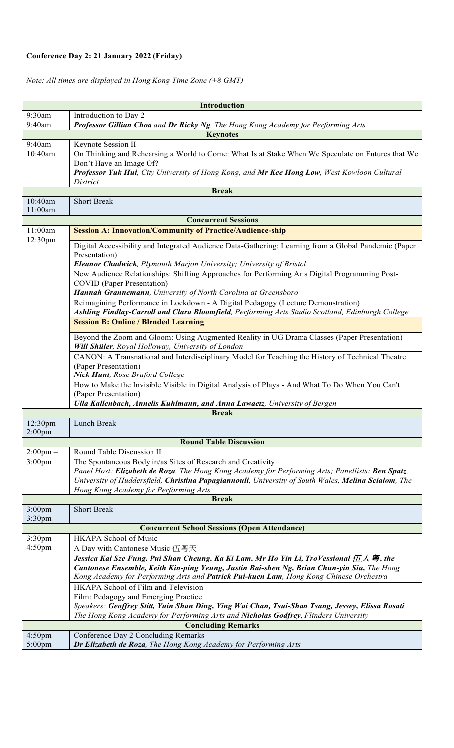### **Conference Day 2: 21 January 2022 (Friday)**

### *Note: All times are displayed in Hong Kong Time Zone (+8 GMT)*

| <b>Introduction</b>                 |                                                                                                                                                                                      |  |
|-------------------------------------|--------------------------------------------------------------------------------------------------------------------------------------------------------------------------------------|--|
| $9:30am -$                          | Introduction to Day 2                                                                                                                                                                |  |
| 9:40am                              | Professor Gillian Choa and Dr Ricky Ng, The Hong Kong Academy for Performing Arts                                                                                                    |  |
| <b>Keynotes</b>                     |                                                                                                                                                                                      |  |
| $9:40$ am $-$                       | Keynote Session II                                                                                                                                                                   |  |
| 10:40am                             | On Thinking and Rehearsing a World to Come: What Is at Stake When We Speculate on Futures that We<br>Don't Have an Image Of?                                                         |  |
|                                     | Professor Yuk Hui, City University of Hong Kong, and Mr Kee Hong Low, West Kowloon Cultural                                                                                          |  |
|                                     | District                                                                                                                                                                             |  |
| <b>Break</b>                        |                                                                                                                                                                                      |  |
| $10:40$ am -                        | <b>Short Break</b>                                                                                                                                                                   |  |
| 11:00am                             |                                                                                                                                                                                      |  |
|                                     | <b>Concurrent Sessions</b>                                                                                                                                                           |  |
| $11:00am -$<br>12:30pm              | <b>Session A: Innovation/Community of Practice/Audience-ship</b>                                                                                                                     |  |
|                                     | Digital Accessibility and Integrated Audience Data-Gathering: Learning from a Global Pandemic (Paper                                                                                 |  |
|                                     | Presentation)                                                                                                                                                                        |  |
|                                     | Eleanor Chadwick, Plymouth Marjon University; University of Bristol                                                                                                                  |  |
|                                     | New Audience Relationships: Shifting Approaches for Performing Arts Digital Programming Post-                                                                                        |  |
|                                     | <b>COVID</b> (Paper Presentation)                                                                                                                                                    |  |
|                                     | Hannah Grannemann, University of North Carolina at Greensboro                                                                                                                        |  |
|                                     | Reimagining Performance in Lockdown - A Digital Pedagogy (Lecture Demonstration)<br>Ashling Findlay-Carroll and Clara Bloomfield, Performing Arts Studio Scotland, Edinburgh College |  |
|                                     | <b>Session B: Online / Blended Learning</b>                                                                                                                                          |  |
|                                     | Beyond the Zoom and Gloom: Using Augmented Reality in UG Drama Classes (Paper Presentation)                                                                                          |  |
|                                     | Will Shüler, Royal Holloway, University of London                                                                                                                                    |  |
|                                     | CANON: A Transnational and Interdisciplinary Model for Teaching the History of Technical Theatre                                                                                     |  |
|                                     | (Paper Presentation)<br>Nick Hunt, Rose Bruford College                                                                                                                              |  |
|                                     | How to Make the Invisible Visible in Digital Analysis of Plays - And What To Do When You Can't                                                                                       |  |
|                                     | (Paper Presentation)                                                                                                                                                                 |  |
|                                     | Ulla Kallenbach, Annelis Kuhlmann, and Anna Lawaetz, University of Bergen                                                                                                            |  |
|                                     | <b>Break</b>                                                                                                                                                                         |  |
| $12:30 \text{pm} -$                 | Lunch Break                                                                                                                                                                          |  |
| $2:00$ pm                           |                                                                                                                                                                                      |  |
|                                     | <b>Round Table Discussion</b>                                                                                                                                                        |  |
| $2:00 \text{pm} -$                  | Round Table Discussion II                                                                                                                                                            |  |
| $3:00$ pm                           | The Spontaneous Body in/as Sites of Research and Creativity                                                                                                                          |  |
|                                     | Panel Host: Elizabeth de Roza, The Hong Kong Academy for Performing Arts; Panellists: Ben Spatz,                                                                                     |  |
|                                     | University of Huddersfield, Christina Papagiannouli, University of South Wales, Melina Scialom, The<br>Hong Kong Academy for Performing Arts                                         |  |
|                                     | <b>Break</b>                                                                                                                                                                         |  |
| $3:00 \text{pm} -$                  | <b>Short Break</b>                                                                                                                                                                   |  |
| $3:30$ pm                           |                                                                                                                                                                                      |  |
|                                     | <b>Concurrent School Sessions (Open Attendance)</b>                                                                                                                                  |  |
| $3:30$ pm $-$<br>4:50 <sub>pm</sub> | <b>HKAPA School of Music</b>                                                                                                                                                         |  |
|                                     | A Day with Cantonese Music 伍粵天                                                                                                                                                       |  |
|                                     | Jessica Kai Sze Fung, Pui Shan Cheung, Ka Ki Lam, Mr Ho Yin Li, TroVessional $E \setminus \mathcal{F}$ , the                                                                         |  |
|                                     | Cantonese Ensemble, Keith Kin-ping Yeung, Justin Bai-shen Ng, Brian Chun-yin Siu, The Hong<br>Kong Academy for Performing Arts and Patrick Pui-kuen Lam, Hong Kong Chinese Orchestra |  |
|                                     | HKAPA School of Film and Television                                                                                                                                                  |  |
|                                     | Film: Pedagogy and Emerging Practice                                                                                                                                                 |  |
|                                     | Speakers: Geoffrey Stitt, Yuin Shan Ding, Ying Wai Chan, Tsui-Shan Tsang, Jessey, Elissa Rosati,                                                                                     |  |
|                                     | The Hong Kong Academy for Performing Arts and Nicholas Godfrey, Flinders University                                                                                                  |  |
| <b>Concluding Remarks</b>           |                                                                                                                                                                                      |  |
| $4:50 \text{pm} -$                  | Conference Day 2 Concluding Remarks                                                                                                                                                  |  |
| $5:00$ pm                           | Dr Elizabeth de Roza, The Hong Kong Academy for Performing Arts                                                                                                                      |  |